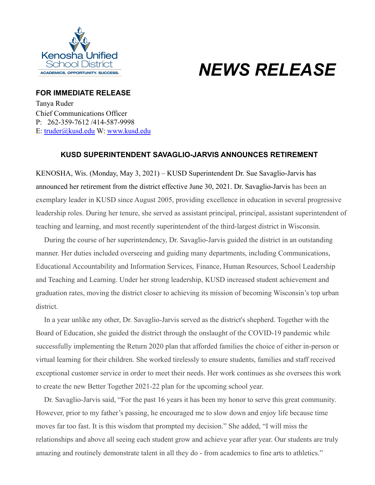

## *NEWS RELEASE*

## **FOR IMMEDIATE RELEASE** Tanya Ruder

Chief Communications Officer P: 262-359-7612 /414-587-9998 E: [truder@kusd.edu](mailto:truder@kusd.edu) W: [www.kusd.edu](http://www.kusd.edu/)

## **KUSD SUPERINTENDENT SAVAGLIO-JARVIS ANNOUNCES RETIREMENT**

KENOSHA, Wis. (Monday, May 3, 2021) – KUSD Superintendent Dr. Sue Savaglio-Jarvis has announced her retirement from the district effective June 30, 2021. Dr. Savaglio-Jarvis has been an exemplary leader in KUSD since August 2005, providing excellence in education in several progressive leadership roles. During her tenure, she served as assistant principal, principal, assistant superintendent of teaching and learning, and most recently superintendent of the third-largest district in Wisconsin.

During the course of her superintendency, Dr. Savaglio-Jarvis guided the district in an outstanding manner. Her duties included overseeing and guiding many departments, including Communications, Educational Accountability and Information Services, Finance, Human Resources, School Leadership and Teaching and Learning. Under her strong leadership, KUSD increased student achievement and graduation rates, moving the district closer to achieving its mission of becoming Wisconsin's top urban district.

In a year unlike any other, Dr. Savaglio-Jarvis served as the district's shepherd. Together with the Board of Education, she guided the district through the onslaught of the COVID-19 pandemic while successfully implementing the Return 2020 plan that afforded families the choice of either in-person or virtual learning for their children. She worked tirelessly to ensure students, families and staff received exceptional customer service in order to meet their needs. Her work continues as she oversees this work to create the new Better Together 2021-22 plan for the upcoming school year.

Dr. Savaglio-Jarvis said, "For the past 16 years it has been my honor to serve this great community. However, prior to my father's passing, he encouraged me to slow down and enjoy life because time moves far too fast. It is this wisdom that prompted my decision." She added, "I will miss the relationships and above all seeing each student grow and achieve year after year. Our students are truly amazing and routinely demonstrate talent in all they do - from academics to fine arts to athletics."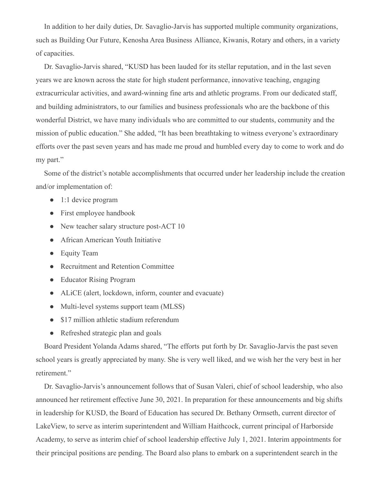In addition to her daily duties, Dr. Savaglio-Jarvis has supported multiple community organizations, such as Building Our Future, Kenosha Area Business Alliance, Kiwanis, Rotary and others, in a variety of capacities.

Dr. Savaglio-Jarvis shared, "KUSD has been lauded for its stellar reputation, and in the last seven years we are known across the state for high student performance, innovative teaching, engaging extracurricular activities, and award-winning fine arts and athletic programs. From our dedicated staff, and building administrators, to our families and business professionals who are the backbone of this wonderful District, we have many individuals who are committed to our students, community and the mission of public education." She added, "It has been breathtaking to witness everyone's extraordinary efforts over the past seven years and has made me proud and humbled every day to come to work and do my part."

Some of the district's notable accomplishments that occurred under her leadership include the creation and/or implementation of:

- 1:1 device program
- First employee handbook
- New teacher salary structure post-ACT 10
- African American Youth Initiative
- Equity Team
- Recruitment and Retention Committee
- Educator Rising Program
- ALiCE (alert, lockdown, inform, counter and evacuate)
- Multi-level systems support team (MLSS)
- \$17 million athletic stadium referendum
- Refreshed strategic plan and goals

Board President Yolanda Adams shared, "The efforts put forth by Dr. Savaglio-Jarvis the past seven school years is greatly appreciated by many. She is very well liked, and we wish her the very best in her retirement."

Dr. Savaglio-Jarvis's announcement follows that of Susan Valeri, chief of school leadership, who also announced her retirement effective June 30, 2021. In preparation for these announcements and big shifts in leadership for KUSD, the Board of Education has secured Dr. Bethany Ormseth, current director of LakeView, to serve as interim superintendent and William Haithcock, current principal of Harborside Academy, to serve as interim chief of school leadership effective July 1, 2021. Interim appointments for their principal positions are pending. The Board also plans to embark on a superintendent search in the